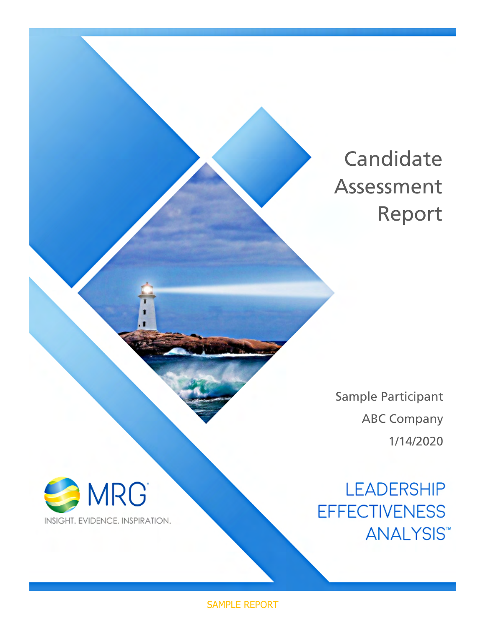

SAMPLE REPORT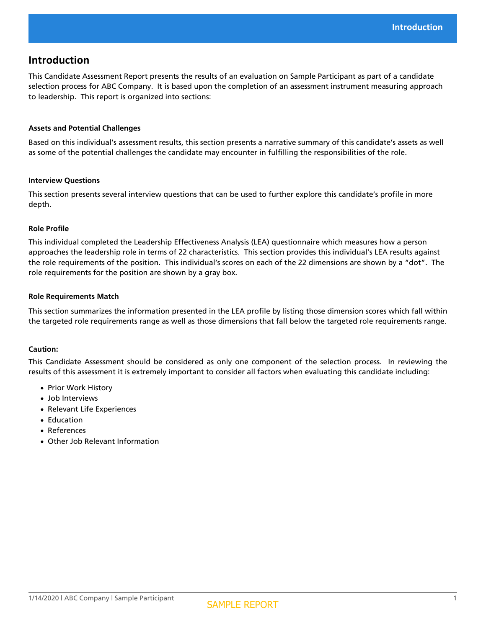### **Introduction**

This Candidate Assessment Report presents the results of an evaluation on Sample Participant as part of a candidate selection process for ABC Company. It is based upon the completion of an assessment instrument measuring approach to leadership. This report is organized into sections:

#### **Assets and Potential Challenges**

Based on this individual's assessment results, this section presents a narrative summary of this candidate's assets as well as some of the potential challenges the candidate may encounter in fulfilling the responsibilities of the role.

#### **Interview Questions**

This section presents several interview questions that can be used to further explore this candidate's profile in more depth.

#### **Role Profile**

This individual completed the Leadership Effectiveness Analysis (LEA) questionnaire which measures how a person approaches the leadership role in terms of 22 characteristics. This section provides this individual's LEA results against the role requirements of the position. This individual's scores on each of the 22 dimensions are shown by a "dot". The role requirements for the position are shown by a gray box.

#### **Role Requirements Match**

This section summarizes the information presented in the LEA profile by listing those dimension scores which fall within the targeted role requirements range as well as those dimensions that fall below the targeted role requirements range.

#### **Caution:**

This Candidate Assessment should be considered as only one component of the selection process. In reviewing the results of this assessment it is extremely important to consider all factors when evaluating this candidate including:

- · Prior Work History
- · Job Interviews
- · Relevant Life Experiences
- · Education
- · References
- · Other Job Relevant Information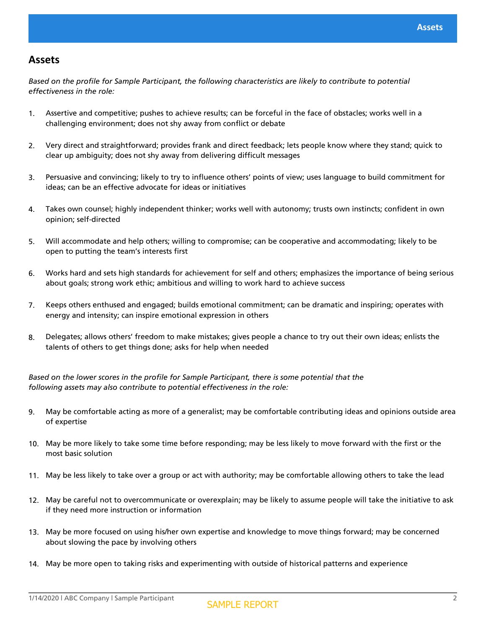## **Assets**

*Based on the profile for Sample Participant, the following characteristics are likely to contribute to potential effectiveness in the role:*

- 1. Assertive and competitive; pushes to achieve results; can be forceful in the face of obstacles; works well in a challenging environment; does not shy away from conflict or debate
- 2. Very direct and straightforward; provides frank and direct feedback; lets people know where they stand; quick to clear up ambiguity; does not shy away from delivering difficult messages
- 3. Persuasive and convincing; likely to try to influence others' points of view; uses language to build commitment for ideas; can be an effective advocate for ideas or initiatives
- 4. Takes own counsel; highly independent thinker; works well with autonomy; trusts own instincts; confident in own opinion; self-directed
- 5. Will accommodate and help others; willing to compromise; can be cooperative and accommodating; likely to be open to putting the team's interests first
- 6. Works hard and sets high standards for achievement for self and others; emphasizes the importance of being serious about goals; strong work ethic; ambitious and willing to work hard to achieve success
- 7. Keeps others enthused and engaged; builds emotional commitment; can be dramatic and inspiring; operates with energy and intensity; can inspire emotional expression in others
- 8. Delegates; allows others' freedom to make mistakes; gives people a chance to try out their own ideas; enlists the talents of others to get things done; asks for help when needed

*Based on the lower scores in the profile for Sample Participant, there is some potential that the following assets may also contribute to potential effectiveness in the role:*

- 9. May be comfortable acting as more of a generalist; may be comfortable contributing ideas and opinions outside area of expertise
- 10. May be more likely to take some time before responding; may be less likely to move forward with the first or the most basic solution
- 11. May be less likely to take over a group or act with authority; may be comfortable allowing others to take the lead
- 12. May be careful not to overcommunicate or overexplain; may be likely to assume people will take the initiative to ask if they need more instruction or information
- 13. May be more focused on using his/her own expertise and knowledge to move things forward; may be concerned about slowing the pace by involving others
- 14. May be more open to taking risks and experimenting with outside of historical patterns and experience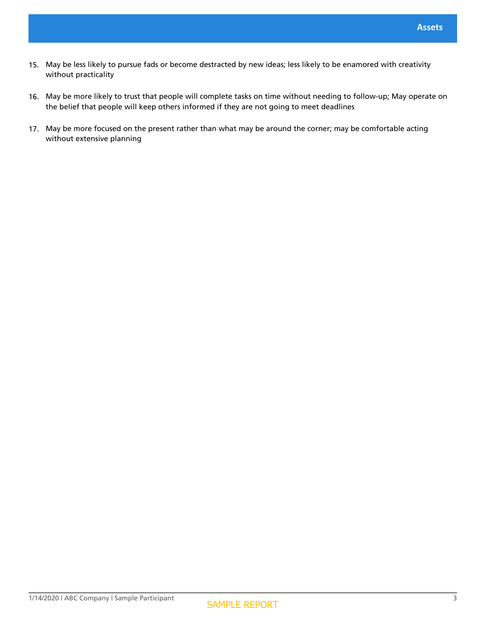- 15. May be less likely to pursue fads or become destracted by new ideas; less likely to be enamored with creativity without practicality
- 16. May be more likely to trust that people will complete tasks on time without needing to follow-up; May operate on the belief that people will keep others informed if they are not going to meet deadlines
- 17. May be more focused on the present rather than what may be around the corner; may be comfortable acting without extensive planning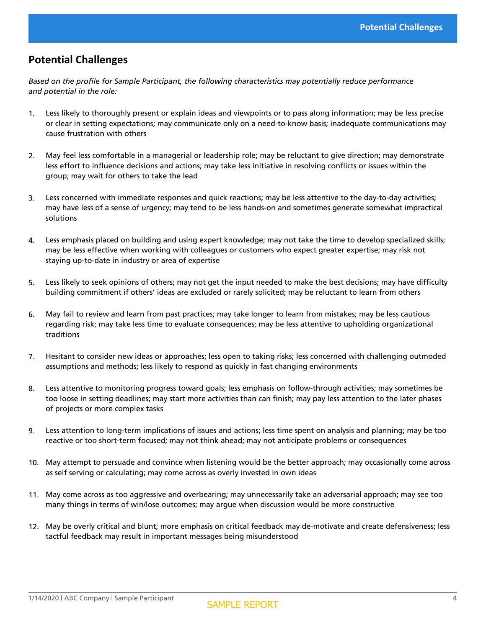# **Potential Challenges**

*Based on the profile for Sample Participant, the following characteristics may potentially reduce performance and potential in the role:*

- 1. Less likely to thoroughly present or explain ideas and viewpoints or to pass along information; may be less precise or clear in setting expectations; may communicate only on a need-to-know basis; inadequate communications may cause frustration with others
- 2. May feel less comfortable in a managerial or leadership role; may be reluctant to give direction; may demonstrate less effort to influence decisions and actions; may take less initiative in resolving conflicts or issues within the group; may wait for others to take the lead
- 3. Less concerned with immediate responses and quick reactions; may be less attentive to the day-to-day activities; may have less of a sense of urgency; may tend to be less hands-on and sometimes generate somewhat impractical solutions
- 4. Less emphasis placed on building and using expert knowledge; may not take the time to develop specialized skills; may be less effective when working with colleagues or customers who expect greater expertise; may risk not staying up-to-date in industry or area of expertise
- 5. Less likely to seek opinions of others; may not get the input needed to make the best decisions; may have difficulty building commitment if others' ideas are excluded or rarely solicited; may be reluctant to learn from others
- 6. May fail to review and learn from past practices; may take longer to learn from mistakes; may be less cautious regarding risk; may take less time to evaluate consequences; may be less attentive to upholding organizational traditions
- 7. Hesitant to consider new ideas or approaches; less open to taking risks; less concerned with challenging outmoded assumptions and methods; less likely to respond as quickly in fast changing environments
- 8. Less attentive to monitoring progress toward goals; less emphasis on follow-through activities; may sometimes be too loose in setting deadlines; may start more activities than can finish; may pay less attention to the later phases of projects or more complex tasks
- 9. Less attention to long-term implications of issues and actions; less time spent on analysis and planning; may be too reactive or too short-term focused; may not think ahead; may not anticipate problems or consequences
- 10. May attempt to persuade and convince when listening would be the better approach; may occasionally come across as self serving or calculating; may come across as overly invested in own ideas
- 11. May come across as too aggressive and overbearing; may unnecessarily take an adversarial approach; may see too many things in terms of win/lose outcomes; may argue when discussion would be more constructive
- 12. May be overly critical and blunt; more emphasis on critical feedback may de-motivate and create defensiveness; less tactful feedback may result in important messages being misunderstood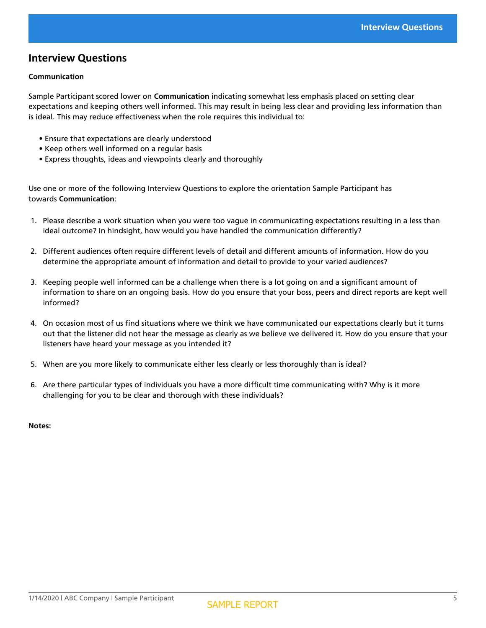### **Communication**

Sample Participant scored lower on **Communication** indicating somewhat less emphasis placed on setting clear expectations and keeping others well informed. This may result in being less clear and providing less information than is ideal. This may reduce effectiveness when the role requires this individual to:

- Ensure that expectations are clearly understood
- Keep others well informed on a regular basis
- Express thoughts, ideas and viewpoints clearly and thoroughly

Use one or more of the following Interview Questions to explore the orientation Sample Participant has towards **Communication**:

- 1. Please describe a work situation when you were too vague in communicating expectations resulting in a less than ideal outcome? In hindsight, how would you have handled the communication differently?
- 2. Different audiences often require different levels of detail and different amounts of information. How do you determine the appropriate amount of information and detail to provide to your varied audiences?
- 3. Keeping people well informed can be a challenge when there is a lot going on and a significant amount of information to share on an ongoing basis. How do you ensure that your boss, peers and direct reports are kept well informed?
- 4. On occasion most of us find situations where we think we have communicated our expectations clearly but it turns out that the listener did not hear the message as clearly as we believe we delivered it. How do you ensure that your listeners have heard your message as you intended it?
- 5. When are you more likely to communicate either less clearly or less thoroughly than is ideal?
- 6. Are there particular types of individuals you have a more difficult time communicating with? Why is it more challenging for you to be clear and thorough with these individuals?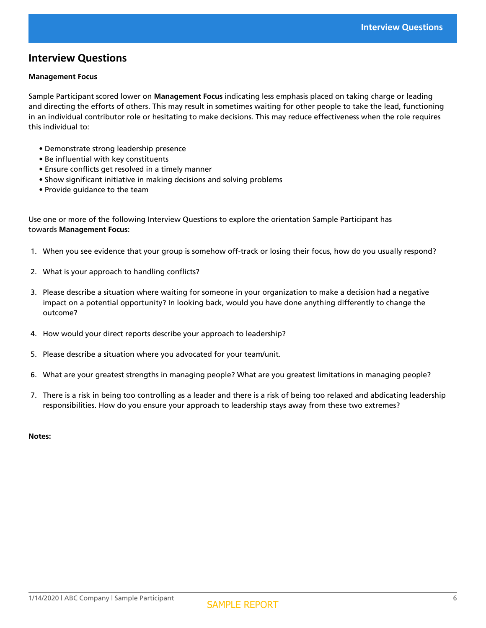### **Management Focus**

Sample Participant scored lower on **Management Focus** indicating less emphasis placed on taking charge or leading and directing the efforts of others. This may result in sometimes waiting for other people to take the lead, functioning in an individual contributor role or hesitating to make decisions. This may reduce effectiveness when the role requires this individual to:

- Demonstrate strong leadership presence
- Be influential with key constituents
- Ensure conflicts get resolved in a timely manner
- Show significant initiative in making decisions and solving problems
- Provide guidance to the team

Use one or more of the following Interview Questions to explore the orientation Sample Participant has towards **Management Focus**:

- 1. When you see evidence that your group is somehow off-track or losing their focus, how do you usually respond?
- 2. What is your approach to handling conflicts?
- 3. Please describe a situation where waiting for someone in your organization to make a decision had a negative impact on a potential opportunity? In looking back, would you have done anything differently to change the outcome?
- 4. How would your direct reports describe your approach to leadership?
- 5. Please describe a situation where you advocated for your team/unit.
- 6. What are your greatest strengths in managing people? What are you greatest limitations in managing people?
- 7. There is a risk in being too controlling as a leader and there is a risk of being too relaxed and abdicating leadership responsibilities. How do you ensure your approach to leadership stays away from these two extremes?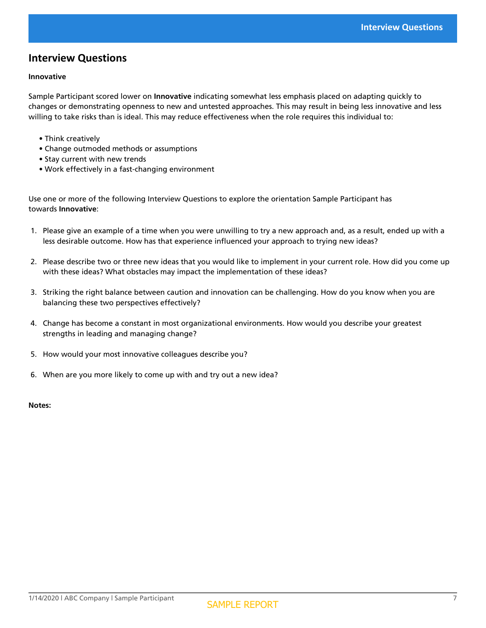### **Innovative**

Sample Participant scored lower on **Innovative** indicating somewhat less emphasis placed on adapting quickly to changes or demonstrating openness to new and untested approaches. This may result in being less innovative and less willing to take risks than is ideal. This may reduce effectiveness when the role requires this individual to:

- Think creatively
- Change outmoded methods or assumptions
- Stay current with new trends
- Work effectively in a fast-changing environment

Use one or more of the following Interview Questions to explore the orientation Sample Participant has towards **Innovative**:

- 1. Please give an example of a time when you were unwilling to try a new approach and, as a result, ended up with a less desirable outcome. How has that experience influenced your approach to trying new ideas?
- 2. Please describe two or three new ideas that you would like to implement in your current role. How did you come up with these ideas? What obstacles may impact the implementation of these ideas?
- 3. Striking the right balance between caution and innovation can be challenging. How do you know when you are balancing these two perspectives effectively?
- 4. Change has become a constant in most organizational environments. How would you describe your greatest strengths in leading and managing change?
- 5. How would your most innovative colleagues describe you?
- 6. When are you more likely to come up with and try out a new idea?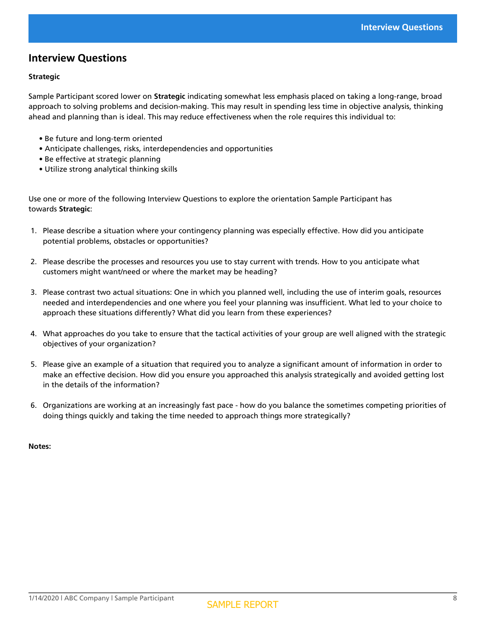### **Strategic**

Sample Participant scored lower on **Strategic** indicating somewhat less emphasis placed on taking a long-range, broad approach to solving problems and decision-making. This may result in spending less time in objective analysis, thinking ahead and planning than is ideal. This may reduce effectiveness when the role requires this individual to:

- Be future and long-term oriented
- Anticipate challenges, risks, interdependencies and opportunities
- Be effective at strategic planning
- Utilize strong analytical thinking skills

Use one or more of the following Interview Questions to explore the orientation Sample Participant has towards **Strategic**:

- 1. Please describe a situation where your contingency planning was especially effective. How did you anticipate potential problems, obstacles or opportunities?
- 2. Please describe the processes and resources you use to stay current with trends. How to you anticipate what customers might want/need or where the market may be heading?
- 3. Please contrast two actual situations: One in which you planned well, including the use of interim goals, resources needed and interdependencies and one where you feel your planning was insufficient. What led to your choice to approach these situations differently? What did you learn from these experiences?
- 4. What approaches do you take to ensure that the tactical activities of your group are well aligned with the strategic objectives of your organization?
- 5. Please give an example of a situation that required you to analyze a significant amount of information in order to make an effective decision. How did you ensure you approached this analysis strategically and avoided getting lost in the details of the information?
- 6. Organizations are working at an increasingly fast pace how do you balance the sometimes competing priorities of doing things quickly and taking the time needed to approach things more strategically?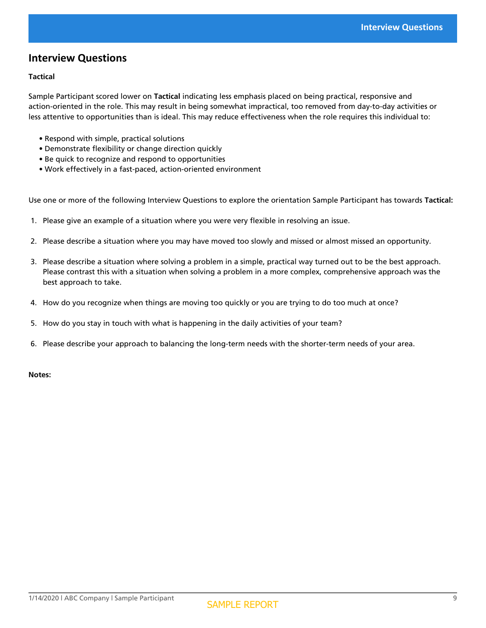### **Tactical**

Sample Participant scored lower on **Tactical** indicating less emphasis placed on being practical, responsive and action-oriented in the role. This may result in being somewhat impractical, too removed from day-to-day activities or less attentive to opportunities than is ideal. This may reduce effectiveness when the role requires this individual to:

- Respond with simple, practical solutions
- Demonstrate flexibility or change direction quickly
- Be quick to recognize and respond to opportunities
- Work effectively in a fast-paced, action-oriented environment

Use one or more of the following Interview Questions to explore the orientation Sample Participant has towards **Tactical:**

- 1. Please give an example of a situation where you were very flexible in resolving an issue.
- 2. Please describe a situation where you may have moved too slowly and missed or almost missed an opportunity.
- 3. Please describe a situation where solving a problem in a simple, practical way turned out to be the best approach. Please contrast this with a situation when solving a problem in a more complex, comprehensive approach was the best approach to take.
- 4. How do you recognize when things are moving too quickly or you are trying to do too much at once?
- 5. How do you stay in touch with what is happening in the daily activities of your team?
- 6. Please describe your approach to balancing the long-term needs with the shorter-term needs of your area.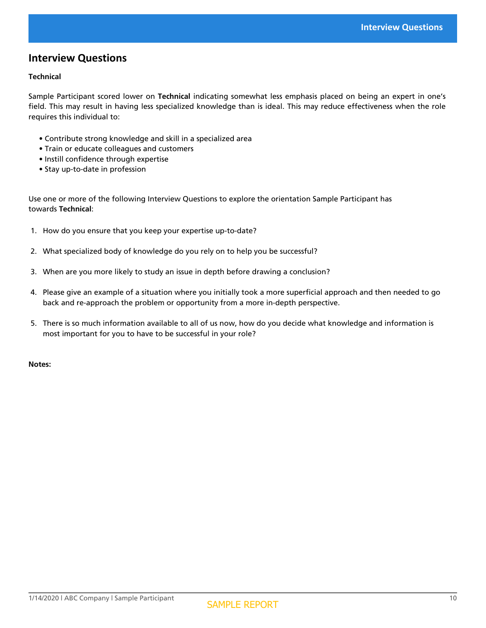### **Technical**

Sample Participant scored lower on **Technical** indicating somewhat less emphasis placed on being an expert in one's field. This may result in having less specialized knowledge than is ideal. This may reduce effectiveness when the role requires this individual to:

- Contribute strong knowledge and skill in a specialized area
- Train or educate colleagues and customers
- Instill confidence through expertise
- Stay up-to-date in profession

Use one or more of the following Interview Questions to explore the orientation Sample Participant has towards **Technical**:

- 1. How do you ensure that you keep your expertise up-to-date?
- 2. What specialized body of knowledge do you rely on to help you be successful?
- 3. When are you more likely to study an issue in depth before drawing a conclusion?
- 4. Please give an example of a situation where you initially took a more superficial approach and then needed to go back and re-approach the problem or opportunity from a more in-depth perspective.
- 5. There is so much information available to all of us now, how do you decide what knowledge and information is most important for you to have to be successful in your role?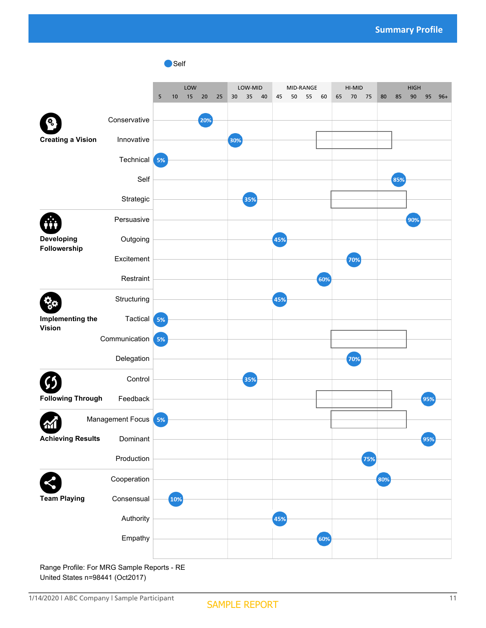

United States n=98441 (Oct2017) Range Profile: For MRG Sample Reports - RE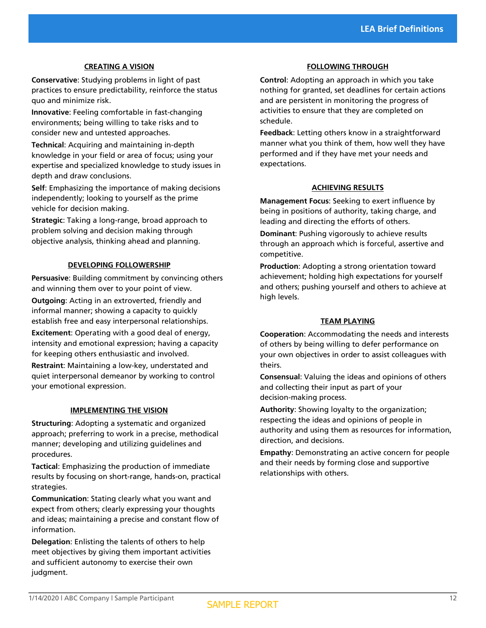### **CREATING A VISION**

**Conservative**: Studying problems in light of past practices to ensure predictability, reinforce the status quo and minimize risk.

**Innovative**: Feeling comfortable in fast-changing environments; being willing to take risks and to consider new and untested approaches.

**Technical**: Acquiring and maintaining in-depth knowledge in your field or area of focus; using your expertise and specialized knowledge to study issues in depth and draw conclusions.

**Self**: Emphasizing the importance of making decisions independently; looking to yourself as the prime vehicle for decision making.

**Strategic**: Taking a long-range, broad approach to problem solving and decision making through objective analysis, thinking ahead and planning.

### **DEVELOPING FOLLOWERSHIP**

**Persuasive**: Building commitment by convincing others and winning them over to your point of view.

**Outgoing**: Acting in an extroverted, friendly and informal manner; showing a capacity to quickly establish free and easy interpersonal relationships.

**Excitement**: Operating with a good deal of energy, intensity and emotional expression; having a capacity for keeping others enthusiastic and involved.

**Restraint**: Maintaining a low-key, understated and quiet interpersonal demeanor by working to control your emotional expression.

#### **IMPLEMENTING THE VISION**

**Structuring**: Adopting a systematic and organized approach; preferring to work in a precise, methodical manner; developing and utilizing guidelines and procedures.

**Tactical**: Emphasizing the production of immediate results by focusing on short-range, hands-on, practical strategies.

**Communication**: Stating clearly what you want and expect from others; clearly expressing your thoughts and ideas; maintaining a precise and constant flow of information.

**Delegation**: Enlisting the talents of others to help meet objectives by giving them important activities and sufficient autonomy to exercise their own judgment.

### **FOLLOWING THROUGH**

**Control**: Adopting an approach in which you take nothing for granted, set deadlines for certain actions and are persistent in monitoring the progress of activities to ensure that they are completed on schedule.

**Feedback**: Letting others know in a straightforward manner what you think of them, how well they have performed and if they have met your needs and expectations.

### **ACHIEVING RESULTS**

**Management Focus**: Seeking to exert influence by being in positions of authority, taking charge, and leading and directing the efforts of others.

**Dominant**: Pushing vigorously to achieve results through an approach which is forceful, assertive and competitive.

**Production**: Adopting a strong orientation toward achievement; holding high expectations for yourself and others; pushing yourself and others to achieve at high levels.

#### **TEAM PLAYING**

**Cooperation**: Accommodating the needs and interests of others by being willing to defer performance on your own objectives in order to assist colleagues with theirs.

**Consensual**: Valuing the ideas and opinions of others and collecting their input as part of your decision-making process.

**Authority**: Showing loyalty to the organization; respecting the ideas and opinions of people in authority and using them as resources for information, direction, and decisions.

**Empathy**: Demonstrating an active concern for people and their needs by forming close and supportive relationships with others.